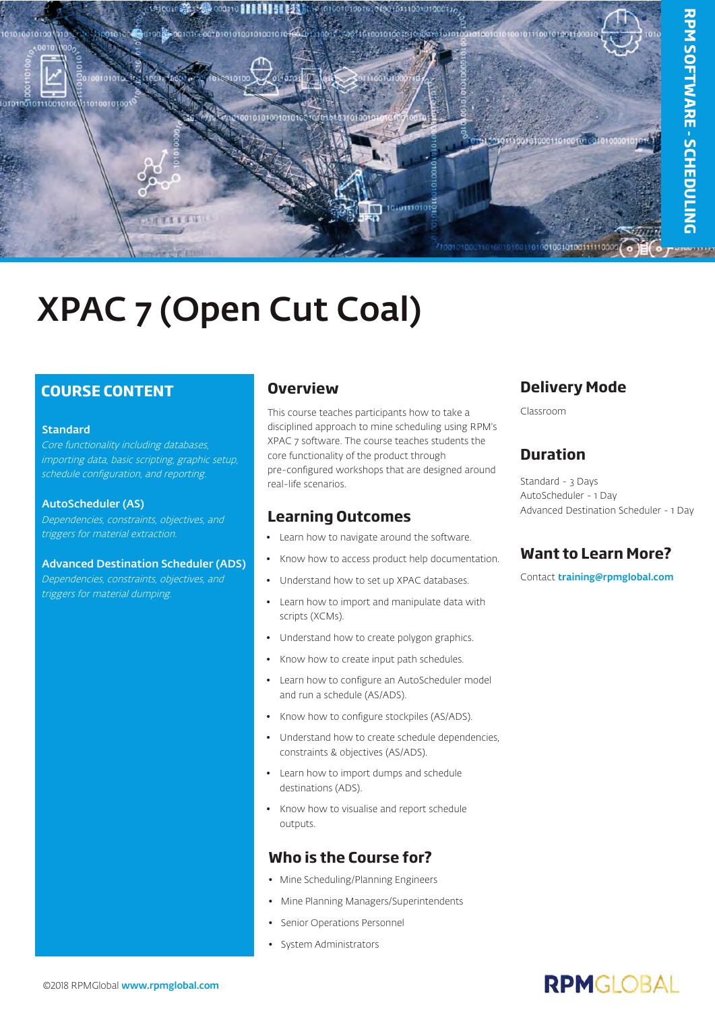

# XPAC 7 (Open Cut Coal)

### **COURSE CONTENT**

#### Standard

Core functionality including databases, importing data, basic scripting, graphic setup, schedule configuration, and reporting.

#### AutoScheduler (AS)

Dependencies, constraints, objectives, and triggers for material extraction.

#### Advanced Destination Scheduler (ADS)

Dependencies, constraints, objectives, and triggers for material dumping.

#### **Overview**

This course teaches participants how to take a disciplined approach to mine scheduling using RPM's XPAC 7 software. The course teaches students the core functionality of the product through pre-configured workshops that are designed around real-life scenarios.

#### **Learning Outcomes**

- Learn how to navigate around the software.
- Know how to access product help documentation.
- Understand how to set up XPAC databases.
- Learn how to import and manipulate data with scripts (XCMs).
- Understand how to create polygon graphics.
- Know how to create input path schedules.
- Learn how to configure an AutoScheduler model and run a schedule (AS/ADS).
- Know how to configure stockpiles (AS/ADS).
- Understand how to create schedule dependencies, constraints & objectives (AS/ADS).
- Learn how to import dumps and schedule destinations (ADS).
- Know how to visualise and report schedule outputs.

#### **Who is the Course for?**

- Mine Scheduling/Planning Engineers
- Mine Planning Managers/Superintendents
- Senior Operations Personnel
- System Administrators

#### **Delivery Mode**

Classroom

#### **Duration**

Standard - 3 Days AutoScheduler - 1 Day Advanced Destination Scheduler - 1 Day

### **Want to Learn More?**

Contact [training@rpmglobal.com](mailto:training@rpmglobal.com)

## **RPMGLOBAL**